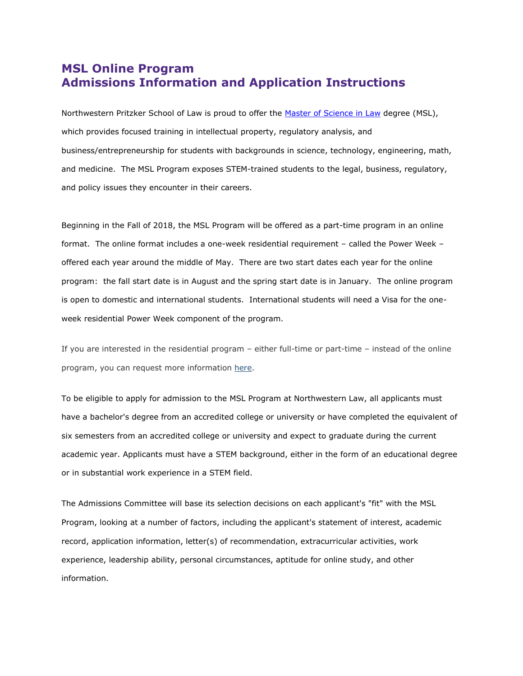# **MSL Online Program Admissions Information and Application Instructions**

Northwestern Pritzker School of Law is proud to offer the [Master of Science in Law](http://www.law.northwestern.edu/academics/degree-programs/msl/) degree (MSL), which provides focused training in intellectual property, regulatory analysis, and business/entrepreneurship for students with backgrounds in science, technology, engineering, math, and medicine. The MSL Program exposes STEM-trained students to the legal, business, regulatory, and policy issues they encounter in their careers.

Beginning in the Fall of 2018, the MSL Program will be offered as a part-time program in an online format. The online format includes a one-week residential requirement – called the Power Week – offered each year around the middle of May. There are two start dates each year for the online program: the fall start date is in August and the spring start date is in January. The online program is open to domestic and international students. International students will need a Visa for the oneweek residential Power Week component of the program.

If you are interested in the residential program – either full-time or part-time – instead of the online program, you can request more information [here.](https://apply.law.northwestern.edu/register/mslcontact)

To be eligible to apply for admission to the MSL Program at Northwestern Law, all applicants must have a bachelor's degree from an accredited college or university or have completed the equivalent of six semesters from an accredited college or university and expect to graduate during the current academic year. Applicants must have a STEM background, either in the form of an educational degree or in substantial work experience in a STEM field.

The Admissions Committee will base its selection decisions on each applicant's "fit" with the MSL Program, looking at a number of factors, including the applicant's statement of interest, academic record, application information, letter(s) of recommendation, extracurricular activities, work experience, leadership ability, personal circumstances, aptitude for online study, and other information.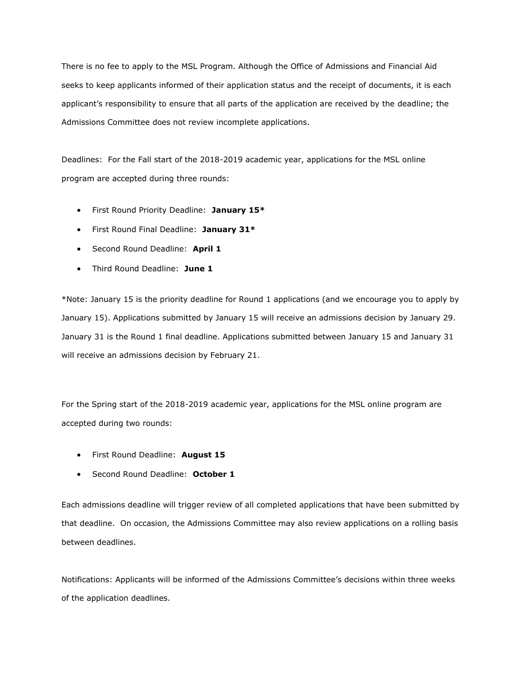There is no fee to apply to the MSL Program. Although the Office of Admissions and Financial Aid seeks to keep applicants informed of their application status and the receipt of documents, it is each applicant's responsibility to ensure that all parts of the application are received by the deadline; the Admissions Committee does not review incomplete applications.

Deadlines: For the Fall start of the 2018-2019 academic year, applications for the MSL online program are accepted during three rounds:

- First Round Priority Deadline: **January 15\***
- First Round Final Deadline: **January 31\***
- Second Round Deadline: **April 1**
- Third Round Deadline: **June 1**

\*Note: January 15 is the priority deadline for Round 1 applications (and we encourage you to apply by January 15). Applications submitted by January 15 will receive an admissions decision by January 29. January 31 is the Round 1 final deadline. Applications submitted between January 15 and January 31 will receive an admissions decision by February 21.

For the Spring start of the 2018-2019 academic year, applications for the MSL online program are accepted during two rounds:

- First Round Deadline: **August 15**
- Second Round Deadline: **October 1**

Each admissions deadline will trigger review of all completed applications that have been submitted by that deadline. On occasion, the Admissions Committee may also review applications on a rolling basis between deadlines.

Notifications: Applicants will be informed of the Admissions Committee's decisions within three weeks of the application deadlines.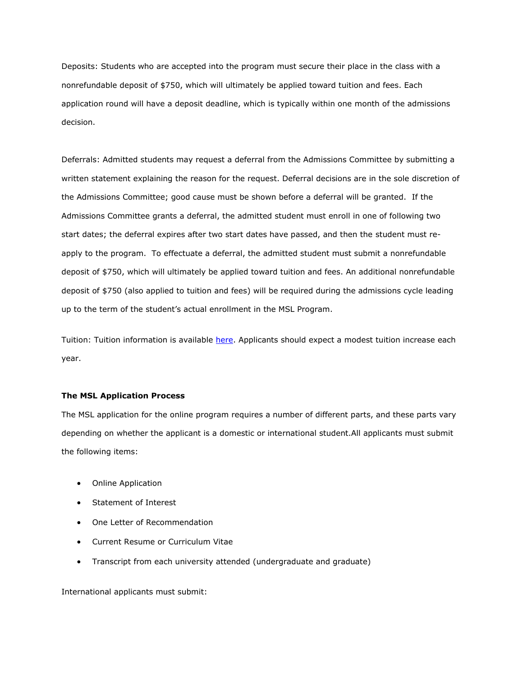Deposits: Students who are accepted into the program must secure their place in the class with a nonrefundable deposit of \$750, which will ultimately be applied toward tuition and fees. Each application round will have a deposit deadline, which is typically within one month of the admissions decision.

Deferrals: Admitted students may request a deferral from the Admissions Committee by submitting a written statement explaining the reason for the request. Deferral decisions are in the sole discretion of the Admissions Committee; good cause must be shown before a deferral will be granted. If the Admissions Committee grants a deferral, the admitted student must enroll in one of following two start dates; the deferral expires after two start dates have passed, and then the student must reapply to the program. To effectuate a deferral, the admitted student must submit a nonrefundable deposit of \$750, which will ultimately be applied toward tuition and fees. An additional nonrefundable deposit of \$750 (also applied to tuition and fees) will be required during the admissions cycle leading up to the term of the student's actual enrollment in the MSL Program.

Tuition: Tuition information is available [here.](http://www.law.northwestern.edu/admissions/tuitionaid/tuition/) Applicants should expect a modest tuition increase each year.

## **The MSL Application Process**

The MSL application for the online program requires a number of different parts, and these parts vary depending on whether the applicant is a domestic or international student.All applicants must submit the following items:

- Online Application
- Statement of Interest
- One Letter of Recommendation
- Current Resume or Curriculum Vitae
- Transcript from each university attended (undergraduate and graduate)

International applicants must submit: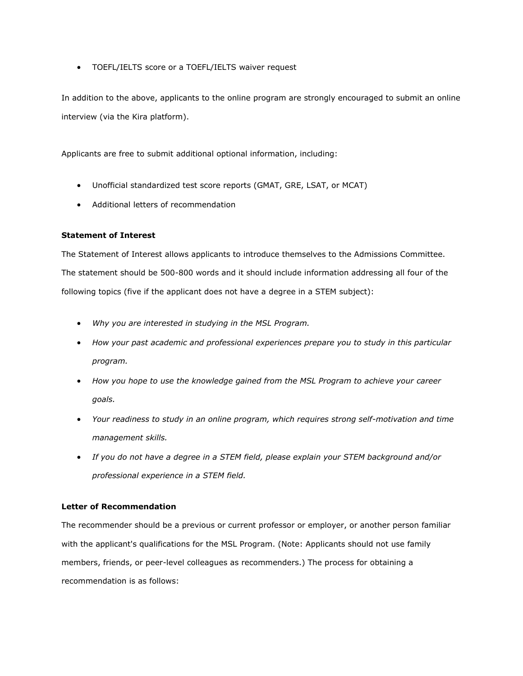TOEFL/IELTS score or a TOEFL/IELTS waiver request

In addition to the above, applicants to the online program are strongly encouraged to submit an online interview (via the Kira platform).

Applicants are free to submit additional optional information, including:

- Unofficial standardized test score reports (GMAT, GRE, LSAT, or MCAT)
- Additional letters of recommendation

# **Statement of Interest**

The Statement of Interest allows applicants to introduce themselves to the Admissions Committee. The statement should be 500-800 words and it should include information addressing all four of the following topics (five if the applicant does not have a degree in a STEM subject):

- *Why you are interested in studying in the MSL Program.*
- *How your past academic and professional experiences prepare you to study in this particular program.*
- *How you hope to use the knowledge gained from the MSL Program to achieve your career goals.*
- *Your readiness to study in an online program, which requires strong self-motivation and time management skills.*
- *If you do not have a degree in a STEM field, please explain your STEM background and/or professional experience in a STEM field.*

# **Letter of Recommendation**

The recommender should be a previous or current professor or employer, or another person familiar with the applicant's qualifications for the MSL Program. (Note: Applicants should not use family members, friends, or peer-level colleagues as recommenders.) The process for obtaining a recommendation is as follows: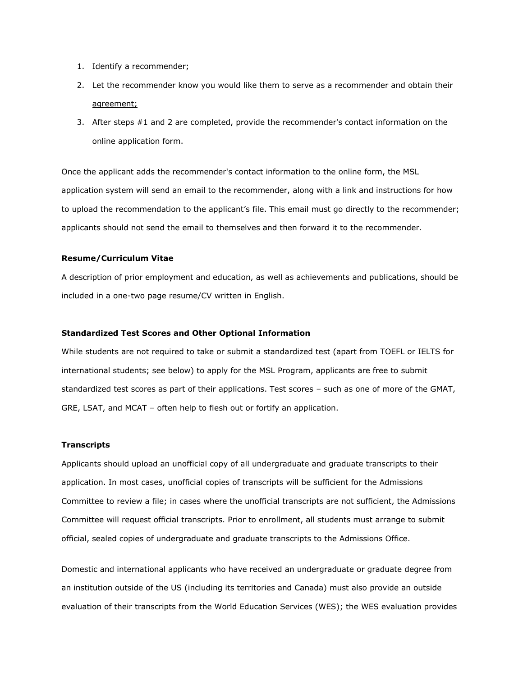- 1. Identify a recommender;
- 2. Let the recommender know you would like them to serve as a recommender and obtain their agreement;
- 3. After steps #1 and 2 are completed, provide the recommender's contact information on the online application form.

Once the applicant adds the recommender's contact information to the online form, the MSL application system will send an email to the recommender, along with a link and instructions for how to upload the recommendation to the applicant's file. This email must go directly to the recommender; applicants should not send the email to themselves and then forward it to the recommender.

#### **Resume/Curriculum Vitae**

A description of prior employment and education, as well as achievements and publications, should be included in a one-two page resume/CV written in English.

## **Standardized Test Scores and Other Optional Information**

While students are not required to take or submit a standardized test (apart from TOEFL or IELTS for international students; see below) to apply for the MSL Program, applicants are free to submit standardized test scores as part of their applications. Test scores – such as one of more of the GMAT, GRE, LSAT, and MCAT – often help to flesh out or fortify an application.

#### **Transcripts**

Applicants should upload an unofficial copy of all undergraduate and graduate transcripts to their application. In most cases, unofficial copies of transcripts will be sufficient for the Admissions Committee to review a file; in cases where the unofficial transcripts are not sufficient, the Admissions Committee will request official transcripts. Prior to enrollment, all students must arrange to submit official, sealed copies of undergraduate and graduate transcripts to the Admissions Office.

Domestic and international applicants who have received an undergraduate or graduate degree from an institution outside of the US (including its territories and Canada) must also provide an outside evaluation of their transcripts from the World Education Services (WES); the WES evaluation provides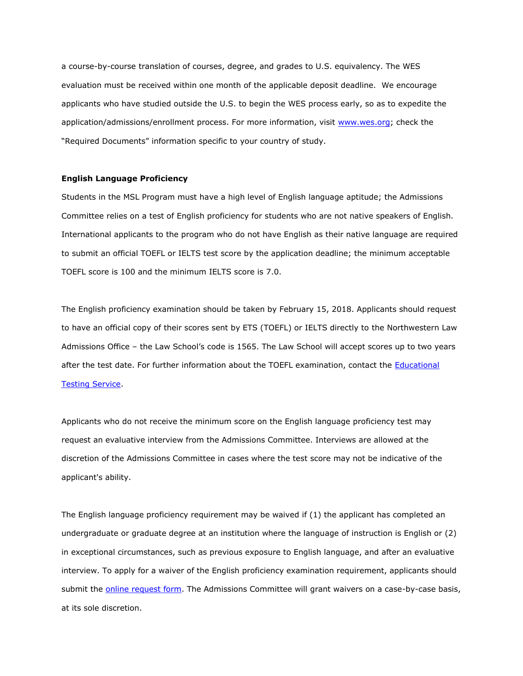a course-by-course translation of courses, degree, and grades to U.S. equivalency. The WES evaluation must be received within one month of the applicable deposit deadline. We encourage applicants who have studied outside the U.S. to begin the WES process early, so as to expedite the application/admissions/enrollment process. For more information, visit [www.wes.org;](http://wes.org/) check the "Required Documents" information specific to your country of study.

#### **English Language Proficiency**

Students in the MSL Program must have a high level of English language aptitude; the Admissions Committee relies on a test of English proficiency for students who are not native speakers of English. International applicants to the program who do not have English as their native language are required to submit an official TOEFL or IELTS test score by the application deadline; the minimum acceptable TOEFL score is 100 and the minimum IELTS score is 7.0.

The English proficiency examination should be taken by February 15, 2018. Applicants should request to have an official copy of their scores sent by ETS (TOEFL) or IELTS directly to the Northwestern Law Admissions Office – the Law School's code is 1565. The Law School will accept scores up to two years after the test date. For further information about the TOEFL examination, contact the [Educational](https://www.ets.org/toefl/contact/region1)  [Testing Service.](https://www.ets.org/toefl/contact/region1)

Applicants who do not receive the minimum score on the English language proficiency test may request an evaluative interview from the Admissions Committee. Interviews are allowed at the discretion of the Admissions Committee in cases where the test score may not be indicative of the applicant's ability.

The English language proficiency requirement may be waived if (1) the applicant has completed an undergraduate or graduate degree at an institution where the language of instruction is English or (2) in exceptional circumstances, such as previous exposure to English language, and after an evaluative interview. To apply for a waiver of the English proficiency examination requirement, applicants should submit the **online request form**. The Admissions Committee will grant waivers on a case-by-case basis, at its sole discretion.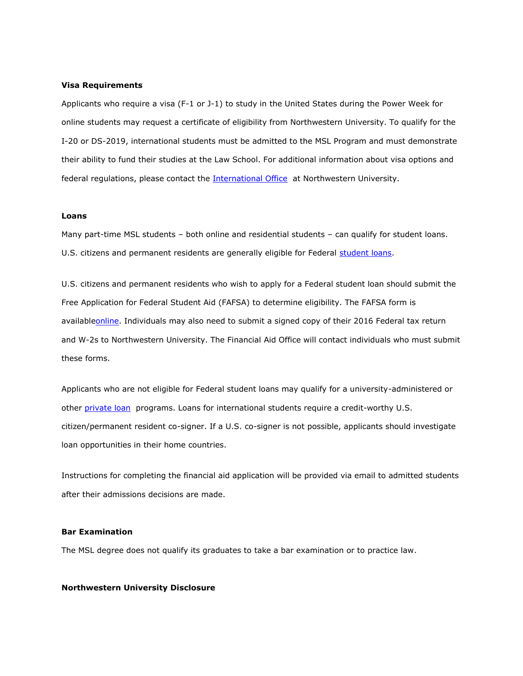#### **Visa Requirements**

Applicants who require a visa (F-1 or J-1) to study in the United States during the Power Week for online students may request a certificate of eligibility from Northwestern University. To qualify for the I-20 or DS-2019, international students must be admitted to the MSL Program and must demonstrate their ability to fund their studies at the Law School. For additional information about visa options and federal regulations, please contact the [International Office](http://www.northwestern.edu/international/) at Northwestern University.

#### **Loans**

Many part-time MSL students – both online and residential students – can qualify for student loans. U.S. citizens and permanent residents are generally eligible for Federal [student loans.](http://www.law.northwestern.edu/admissions/tuitionaid/aid/)

U.S. citizens and permanent residents who wish to apply for a Federal student loan should submit the Free Application for Federal Student Aid (FAFSA) to determine eligibility. The FAFSA form is availabl[eonline.](http://www.fafsa.ed.gov/) Individuals may also need to submit a signed copy of their 2016 Federal tax return and W-2s to Northwestern University. The Financial Aid Office will contact individuals who must submit these forms.

Applicants who are not eligible for Federal student loans may qualify for a university-administered or other [private loan](http://www.northwestern.edu/sfs/loan_instruc_info/private_loans.html) programs. Loans for international students require a credit-worthy U.S. citizen/permanent resident co-signer. If a U.S. co-signer is not possible, applicants should investigate loan opportunities in their home countries.

Instructions for completing the financial aid application will be provided via email to admitted students after their admissions decisions are made.

## **Bar Examination**

The MSL degree does not qualify its graduates to take a bar examination or to practice law.

#### **Northwestern University Disclosure**